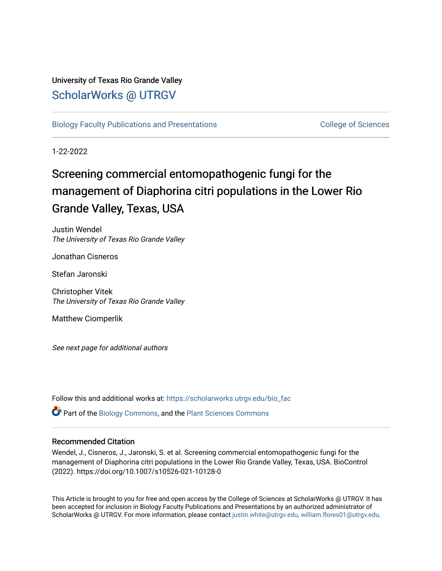## University of Texas Rio Grande Valley [ScholarWorks @ UTRGV](https://scholarworks.utrgv.edu/)

[Biology Faculty Publications and Presentations](https://scholarworks.utrgv.edu/bio_fac) College of Sciences

1-22-2022

# Screening commercial entomopathogenic fungi for the management of Diaphorina citri populations in the Lower Rio Grande Valley, Texas, USA

Justin Wendel The University of Texas Rio Grande Valley

Jonathan Cisneros

Stefan Jaronski

Christopher Vitek The University of Texas Rio Grande Valley

Matthew Ciomperlik

See next page for additional authors

Follow this and additional works at: [https://scholarworks.utrgv.edu/bio\\_fac](https://scholarworks.utrgv.edu/bio_fac?utm_source=scholarworks.utrgv.edu%2Fbio_fac%2F193&utm_medium=PDF&utm_campaign=PDFCoverPages)

Part of the [Biology Commons,](http://network.bepress.com/hgg/discipline/41?utm_source=scholarworks.utrgv.edu%2Fbio_fac%2F193&utm_medium=PDF&utm_campaign=PDFCoverPages) and the [Plant Sciences Commons](http://network.bepress.com/hgg/discipline/102?utm_source=scholarworks.utrgv.edu%2Fbio_fac%2F193&utm_medium=PDF&utm_campaign=PDFCoverPages) 

### Recommended Citation

Wendel, J., Cisneros, J., Jaronski, S. et al. Screening commercial entomopathogenic fungi for the management of Diaphorina citri populations in the Lower Rio Grande Valley, Texas, USA. BioControl (2022). https://doi.org/10.1007/s10526-021-10128-0

This Article is brought to you for free and open access by the College of Sciences at ScholarWorks @ UTRGV. It has been accepted for inclusion in Biology Faculty Publications and Presentations by an authorized administrator of ScholarWorks @ UTRGV. For more information, please contact [justin.white@utrgv.edu, william.flores01@utrgv.edu](mailto:justin.white@utrgv.edu,%20william.flores01@utrgv.edu).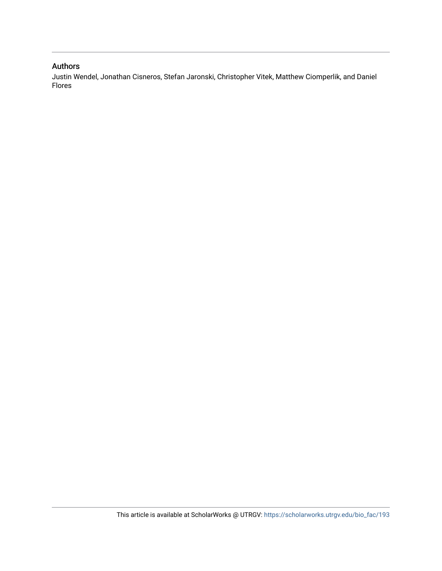## Authors

Justin Wendel, Jonathan Cisneros, Stefan Jaronski, Christopher Vitek, Matthew Ciomperlik, and Daniel Flores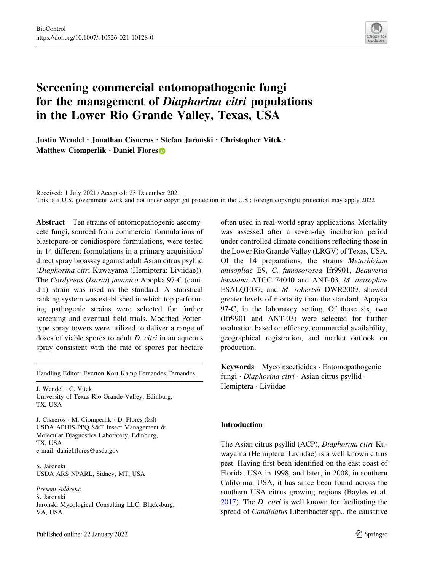

# Screening commercial entomopathogenic fungi for the management of Diaphorina citri populations in the Lower Rio Grande Valley, Texas, USA

Justin Wendel . Jonathan Cisneros . Stefan Jaronski . Christopher Vitek . Matthew Ciomperlik  $\cdot$  Daniel Flore[s](http://orcid.org/0000-0002-3538-2657)

Received: 1 July 2021 / Accepted: 23 December 2021 This is a U.S. government work and not under copyright protection in the U.S.; foreign copyright protection may apply 2022

Abstract Ten strains of entomopathogenic ascomycete fungi, sourced from commercial formulations of blastopore or conidiospore formulations, were tested in 14 different formulations in a primary acquisition/ direct spray bioassay against adult Asian citrus psyllid (Diaphorina citri Kuwayama (Hemiptera: Liviidae)). The Cordyceps (Isaria) javanica Apopka 97-C (conidia) strain was used as the standard. A statistical ranking system was established in which top performing pathogenic strains were selected for further screening and eventual field trials. Modified Pottertype spray towers were utilized to deliver a range of doses of viable spores to adult *D. citri* in an aqueous spray consistent with the rate of spores per hectare

Handling Editor: Everton Kort Kamp Fernandes Fernandes.

J. Wendel - C. Vitek University of Texas Rio Grande Valley, Edinburg, TX, USA

J. Cisneros · M. Ciomperlik · D. Flores ( $\boxtimes$ ) USDA APHIS PPQ S&T Insect Management & Molecular Diagnostics Laboratory, Edinburg, TX, USA e-mail: daniel.flores@usda.gov

S. Jaronski USDA ARS NPARL, Sidney, MT, USA

Present Address: S. Jaronski Jaronski Mycological Consulting LLC, Blacksburg, VA, USA

often used in real-world spray applications. Mortality was assessed after a seven-day incubation period under controlled climate conditions reflecting those in the Lower Rio Grande Valley (LRGV) of Texas, USA. Of the 14 preparations, the strains Metarhizium anisopliae E9, C. fumosorosea Ifr9901, Beauveria bassiana ATCC 74040 and ANT-03, M. anisopliae ESALQ1037, and M. robertsii DWR2009, showed greater levels of mortality than the standard, Apopka 97-C, in the laboratory setting. Of those six, two (Ifr9901 and ANT-03) were selected for further evaluation based on efficacy, commercial availability, geographical registration, and market outlook on production.

Keywords Mycoinsecticides - Entomopathogenic fungi · Diaphorina citri · Asian citrus psyllid · Hemiptera - Liviidae

#### Introduction

The Asian citrus psyllid (ACP), Diaphorina citri Kuwayama (Hemiptera: Liviidae) is a well known citrus pest. Having first been identified on the east coast of Florida, USA in 1998, and later, in 2008, in southern California, USA, it has since been found across the southern USA citrus growing regions (Bayles et al. [2017\)](#page-11-0). The D. citri is well known for facilitating the spread of Candidatus Liberibacter spp., the causative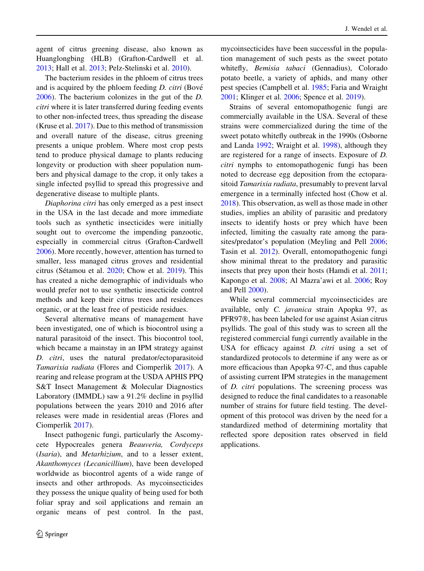agent of citrus greening disease, also known as Huanglongbing (HLB) (Grafton-Cardwell et al. [2013;](#page-11-0) Hall et al. [2013;](#page-11-0) Pelz-Stelinski et al. [2010\)](#page-11-0).

The bacterium resides in the phloem of citrus trees and is acquired by the phloem feeding  $D$ . citri (Bové [2006\)](#page-11-0). The bacterium colonizes in the gut of the D. citri where it is later transferred during feeding events to other non-infected trees, thus spreading the disease (Kruse et al. [2017\)](#page-11-0). Due to this method of transmission and overall nature of the disease, citrus greening presents a unique problem. Where most crop pests tend to produce physical damage to plants reducing longevity or production with sheer population numbers and physical damage to the crop, it only takes a single infected psyllid to spread this progressive and degenerative disease to multiple plants.

Diaphorina citri has only emerged as a pest insect in the USA in the last decade and more immediate tools such as synthetic insecticides were initially sought out to overcome the impending panzootic, especially in commercial citrus (Grafton-Cardwell [2006\)](#page-11-0). More recently, however, attention has turned to smaller, less managed citrus groves and residential citrus (Sétamou et al. [2020](#page-11-0); Chow et al. [2019](#page-11-0)). This has created a niche demographic of individuals who would prefer not to use synthetic insecticide control methods and keep their citrus trees and residences organic, or at the least free of pesticide residues.

Several alternative means of management have been investigated, one of which is biocontrol using a natural parasitoid of the insect. This biocontrol tool, which became a mainstay in an IPM strategy against D. citri, uses the natural predator/ectoparasitoid Tamarixia radiata (Flores and Ciomperlik [2017](#page-11-0)). A rearing and release program at the USDA APHIS PPQ S&T Insect Management & Molecular Diagnostics Laboratory (IMMDL) saw a 91.2% decline in psyllid populations between the years 2010 and 2016 after releases were made in residential areas (Flores and Ciomperlik [2017](#page-11-0)).

Insect pathogenic fungi, particularly the Ascomycete Hypocreales genera Beauveria, Cordyceps (Isaria), and Metarhizium, and to a lesser extent, Akanthomyces (Lecanicillium), have been developed worldwide as biocontrol agents of a wide range of insects and other arthropods. As mycoinsecticides they possess the unique quality of being used for both foliar spray and soil applications and remain an organic means of pest control. In the past,

mycoinsecticides have been successful in the population management of such pests as the sweet potato whitefly, Bemisia tabaci (Gennadius), Colorado potato beetle, a variety of aphids, and many other pest species (Campbell et al. [1985;](#page-11-0) Faria and Wraight [2001;](#page-11-0) Klinger et al. [2006](#page-11-0); Spence et al. [2019](#page-11-0)).

Strains of several entomopathogenic fungi are commercially available in the USA. Several of these strains were commercialized during the time of the sweet potato whitefly outbreak in the 1990s (Osborne and Landa [1992;](#page-11-0) Wraight et al. [1998\)](#page-11-0), although they are registered for a range of insects. Exposure of D. citri nymphs to entomopathogenic fungi has been noted to decrease egg deposition from the ectoparasitoid Tamarixia radiata, presumably to prevent larval emergence in a terminally infected host (Chow et al. [2018\)](#page-11-0). This observation, as well as those made in other studies, implies an ability of parasitic and predatory insects to identify hosts or prey which have been infected, limiting the casualty rate among the parasites/predator's population (Meyling and Pell [2006](#page-11-0); Tasin et al. [2012](#page-11-0)). Overall, entomopathogenic fungi show minimal threat to the predatory and parasitic insects that prey upon their hosts (Hamdi et al. [2011](#page-11-0); Kapongo et al. [2008](#page-11-0); Al Mazra'awi et al. [2006;](#page-10-0) Roy and Pell [2000](#page-11-0)).

While several commercial mycoinsecticides are available, only C. javanica strain Apopka 97, as PFR97®, has been labeled for use against Asian citrus psyllids. The goal of this study was to screen all the registered commercial fungi currently available in the USA for efficacy against D. citri using a set of standardized protocols to determine if any were as or more efficacious than Apopka 97-C, and thus capable of assisting current IPM strategies in the management of D. citri populations. The screening process was designed to reduce the final candidates to a reasonable number of strains for future field testing. The development of this protocol was driven by the need for a standardized method of determining mortality that reflected spore deposition rates observed in field applications.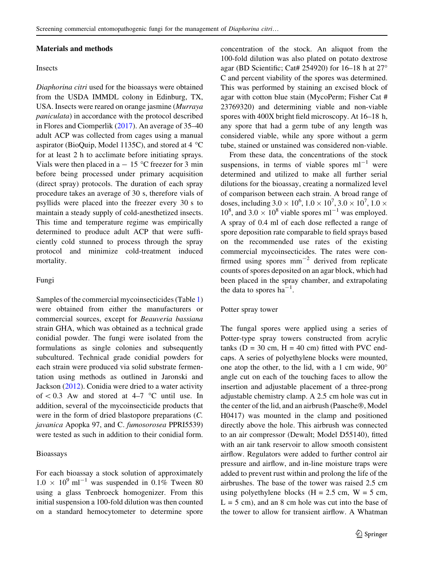#### Materials and methods

#### Insects

Diaphorina citri used for the bioassays were obtained from the USDA IMMDL colony in Edinburg, TX, USA. Insects were reared on orange jasmine (Murraya paniculata) in accordance with the protocol described in Flores and Ciomperlik [\(2017](#page-11-0)). An average of 35–40 adult ACP was collected from cages using a manual aspirator (BioQuip, Model 1135C), and stored at  $4^{\circ}$ C for at least 2 h to acclimate before initiating sprays. Vials were then placed in a  $-15$  °C freezer for 3 min before being processed under primary acquisition (direct spray) protocols. The duration of each spray procedure takes an average of 30 s, therefore vials of psyllids were placed into the freezer every 30 s to maintain a steady supply of cold-anesthetized insects. This time and temperature regime was empirically determined to produce adult ACP that were sufficiently cold stunned to process through the spray protocol and minimize cold-treatment induced mortality.

#### Fungi

Samples of the commercial mycoinsecticides (Table [1\)](#page-5-0) were obtained from either the manufacturers or commercial sources, except for Beauveria bassiana strain GHA, which was obtained as a technical grade conidial powder. The fungi were isolated from the formulations as single colonies and subsequently subcultured. Technical grade conidial powders for each strain were produced via solid substrate fermentation using methods as outlined in Jaronski and Jackson ([2012\)](#page-11-0). Conidia were dried to a water activity of  $\&$  0.3 Aw and stored at 4–7 °C until use. In addition, several of the mycoinsecticide products that were in the form of dried blastopore preparations (C. javanica Apopka 97, and C. fumosorosea PPRI5539) were tested as such in addition to their conidial form.

#### Bioassays

For each bioassay a stock solution of approximately  $1.0 \times 10^{9}$  ml<sup>-1</sup> was suspended in 0.1% Tween 80 using a glass Tenbroeck homogenizer. From this initial suspension a 100-fold dilution was then counted on a standard hemocytometer to determine spore concentration of the stock. An aliquot from the 100-fold dilution was also plated on potato dextrose agar (BD Scientific; Cat# 254920) for  $16-18$  h at  $27^\circ$ C and percent viability of the spores was determined. This was performed by staining an excised block of agar with cotton blue stain (MycoPerm; Fisher Cat # 23769320) and determining viable and non-viable spores with 400X bright field microscopy. At 16–18 h, any spore that had a germ tube of any length was considered viable, while any spore without a germ tube, stained or unstained was considered non-viable.

From these data, the concentrations of the stock suspensions, in terms of viable spores  $ml^{-1}$  were determined and utilized to make all further serial dilutions for the bioassay, creating a normalized level of comparison between each strain. A broad range of doses, including  $3.0 \times 10^6$ ,  $1.0 \times 10^7$ ,  $3.0 \times 10^7$ ,  $1.0 \times$  $10^8$ , and  $3.0 \times 10^8$  viable spores ml<sup>-1</sup> was employed. A spray of 0.4 ml of each dose reflected a range of spore deposition rate comparable to field sprays based on the recommended use rates of the existing commercial mycoinsecticides. The rates were confirmed using spores  $mm^{-2}$  derived from replicate counts of spores deposited on an agar block, which had been placed in the spray chamber, and extrapolating the data to spores  $ha^{-1}$ .

#### Potter spray tower

The fungal spores were applied using a series of Potter-type spray towers constructed from acrylic tanks ( $D = 30$  cm,  $H = 40$  cm) fitted with PVC endcaps. A series of polyethylene blocks were mounted, one atop the other, to the lid, with a 1 cm wide, 90 angle cut on each of the touching faces to allow the insertion and adjustable placement of a three-prong adjustable chemistry clamp. A 2.5 cm hole was cut in the center of the lid, and an airbrush (Paasche®, Model H0417) was mounted in the clamp and positioned directly above the hole. This airbrush was connected to an air compressor (Dewalt; Model D55140), fitted with an air tank reservoir to allow smooth consistent airflow. Regulators were added to further control air pressure and airflow, and in-line moisture traps were added to prevent rust within and prolong the life of the airbrushes. The base of the tower was raised 2.5 cm using polyethylene blocks  $(H = 2.5$  cm,  $W = 5$  cm,  $L = 5$  cm), and an 8 cm hole was cut into the base of the tower to allow for transient airflow. A Whatman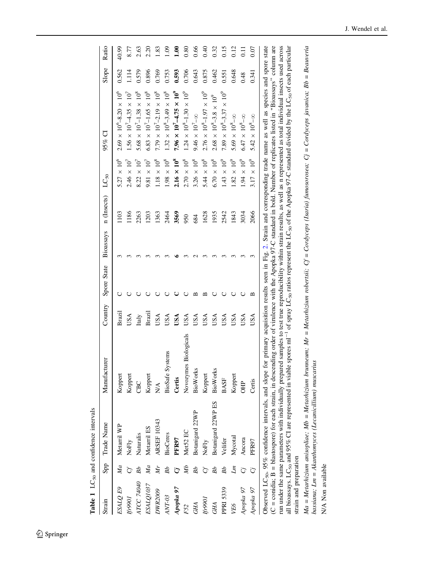<span id="page-5-0"></span>

|                        |    | Table 1 LC <sub>50</sub> and confidence intervals                                                                                                                |                                                                                                                                                                                        |         |             |           |             |                      |                                                                                                                                                                                                                                                                                                                                                                                                                                                       |       |                 |
|------------------------|----|------------------------------------------------------------------------------------------------------------------------------------------------------------------|----------------------------------------------------------------------------------------------------------------------------------------------------------------------------------------|---------|-------------|-----------|-------------|----------------------|-------------------------------------------------------------------------------------------------------------------------------------------------------------------------------------------------------------------------------------------------------------------------------------------------------------------------------------------------------------------------------------------------------------------------------------------------------|-------|-----------------|
| Strain                 |    | Spp Trade Name                                                                                                                                                   | Manufacturer                                                                                                                                                                           | Country | Spore State | Bioassays | n (Insects) | $LC_{50}$            | $95\%$ CI                                                                                                                                                                                                                                                                                                                                                                                                                                             | Slope | Ratio           |
| ESALQ E9               | Ma | Metarril WP                                                                                                                                                      | Koppert                                                                                                                                                                                | Brazil  |             |           | 103         | $5.27 \times 10^{6}$ | $2.69 \times 10^{6} - 8.20 \times 10^{6}$                                                                                                                                                                                                                                                                                                                                                                                                             | 0.562 | 40.99           |
| <b>Ifr9901</b>         |    | $N$ oFly                                                                                                                                                         | Koppert                                                                                                                                                                                | USA     |             |           | 1186        | $2.46 \times 10^{7}$ | $1.56 \times 10^{7} - 4.35 \times 10^{7}$                                                                                                                                                                                                                                                                                                                                                                                                             | 1.114 | 8.77            |
| ATCC 74040             |    | Naturalis                                                                                                                                                        | <b>CBC</b>                                                                                                                                                                             | Italy   |             |           | 2263        | $8.22 \times 10^{7}$ | $5.68 \times 10^{7}$ -1.38 × 10 <sup>8</sup>                                                                                                                                                                                                                                                                                                                                                                                                          | 0.579 | 2.63            |
| ESALQ1037              | Ma | Metarril ES                                                                                                                                                      | Koppert                                                                                                                                                                                | Brazil  |             |           | 1203        | $9.81 \times 10^{7}$ | $6.83 \times 10^{7}$ -1.65 × 10 <sup>8</sup>                                                                                                                                                                                                                                                                                                                                                                                                          | 0.896 | 2.20            |
| DWR2009                | Мŗ | <b>ARSEF 10343</b>                                                                                                                                               | NA.                                                                                                                                                                                    | USA     |             |           | 1363        | $1.18 \times 10^{8}$ | $7.79 \times 10^{7} - 2.19 \times 10^{8}$                                                                                                                                                                                                                                                                                                                                                                                                             | 0.769 | 1.83            |
| ANT-03                 | Вb | <b>BioCeres</b>                                                                                                                                                  | <b>BioSafe Systems</b>                                                                                                                                                                 | USA     |             |           | 2464        | $1.98 \times 10^8$   | $1.32 \times 10^8 - 3.49 \times 10^8$                                                                                                                                                                                                                                                                                                                                                                                                                 | 0.753 | 1.09            |
| Apopka 97              |    | PFR97                                                                                                                                                            | <b>Jertis</b>                                                                                                                                                                          | USA     |             |           | 3569        | $2.16 \times 10^{8}$ | 7.96 $\times$ 10 <sup>7</sup> -4.75 $\times$ 10 <sup>9</sup>                                                                                                                                                                                                                                                                                                                                                                                          | 0.593 | $\frac{8}{110}$ |
| F52                    | ŃИ | Met52 EC                                                                                                                                                         | Novozymes Biologicals                                                                                                                                                                  | USA     |             |           | 950         | $2.70 \times 10^{8}$ | $1.24 \times 10^{8}$ -1.30 $\times 10^{9}$                                                                                                                                                                                                                                                                                                                                                                                                            | 0.706 | 0.80            |
| <b>GHA</b>             | Вb | Botanigard 22WP                                                                                                                                                  | <b>BioWorks</b>                                                                                                                                                                        | USA     | ≃           |           | 684         | $3.26 \times 10^{8}$ | 9.46 $\times$ 10 <sup>7</sup> - $\infty$                                                                                                                                                                                                                                                                                                                                                                                                              | 0.643 | 0.66            |
| Ifr990i                |    | NoFly                                                                                                                                                            | Koppert                                                                                                                                                                                | USA     | $\approx$   |           | 1628        | $5.44 \times 10^8$   | $2.76 \times 10^8$ -1.97 $\times 10^9$                                                                                                                                                                                                                                                                                                                                                                                                                | 0.875 | 0.40            |
| <b>GHA</b>             |    | Botanigard 22WP ES                                                                                                                                               | BioWorks                                                                                                                                                                               | USA     |             |           | 1935        | $6.70\times10^8$     | $2.68 \times 10^8 - 3.8 \times 10^9$                                                                                                                                                                                                                                                                                                                                                                                                                  | 0.462 | 0.32            |
| <b>PPRI 5339</b>       | Вb | Velifer                                                                                                                                                          | BASF                                                                                                                                                                                   | USA     | Ō           |           | 2542        | $1.43 \times 10^{9}$ | 7.89 $\times$ 10 <sup>8</sup> -3.37 $\times$ 10 <sup>9</sup>                                                                                                                                                                                                                                                                                                                                                                                          | 0.551 | 0.15            |
| VE6                    | Ľт | Mycotal                                                                                                                                                          | Koppert                                                                                                                                                                                | USA     | O           |           | 1843        | $1.82\times10^9$     | $5.69\,\times\,10^{8} - \infty$                                                                                                                                                                                                                                                                                                                                                                                                                       | 0.648 | 0.12            |
| Apopka 97              |    | Ancora                                                                                                                                                           | <b>OHP</b>                                                                                                                                                                             | USA     |             |           | 3034        | $1.94 \times 10^9$   | $6.47 \times 10^{8} - \infty$                                                                                                                                                                                                                                                                                                                                                                                                                         | 0.48  | $\overline{1}$  |
| Apopka 97              |    | PFR97                                                                                                                                                            | Certis                                                                                                                                                                                 | USA     | ≃           |           | 2066        | $3.17 \times 10^{9}$ | 5.42 $\times$ 10 <sup>8</sup> - $\infty$                                                                                                                                                                                                                                                                                                                                                                                                              | 0.341 | 0.07            |
| strain and preparation |    | $(C = conidia; B = blastospore)$ for each strain,<br>all bioassays. LC <sub>50</sub> and 95% CI are represented<br>run under the same parameters with individual | Observed LC <sub>50</sub> , 95% confidence intervals, and slope for primary acquisition results seen in Fig. 2. Strain and corresponding trade name as well as species and spore state |         |             |           |             |                      | in descending order of virulence with the Apopka 97-C standard in bold. Number of replicates listed in "Bioassays" column are<br>ly prepared samples to test true reproducibility within strain results, as well as n represented as total individual insects used across<br>in viable spores $m^{-1}$ of spray LC <sub>s0</sub> ratios represent the LC <sub>s0</sub> of the Apopka 97-C standard divided by the LC <sub>s0</sub> of each particular |       |                 |
|                        |    |                                                                                                                                                                  |                                                                                                                                                                                        |         |             |           |             |                      |                                                                                                                                                                                                                                                                                                                                                                                                                                                       |       |                 |

Ma = Metarhizium anisopliae; Mb = Metarhizium brunneum; Mr = Metarhizium robertsii; Cf = Cordyceps (Isaria) funosorosea; Cj = Cordyceps javanica; Bb = Beauveria<br>bassiana; Lm = Akanthomyces (Lecanicillium) muscarius Ma = Metarhizium anisopliae; Mb = Metarhizium brunneum; Mr = Metarhizium robertsii; Cf = Cordyceps (Isaria) fumosorosea; Cj = Cordyceps javanica; Bb = Beauveria bassiana; Lm = Akanthomyces (Lecanicillium) muscarius

N/A Non available N/A Non available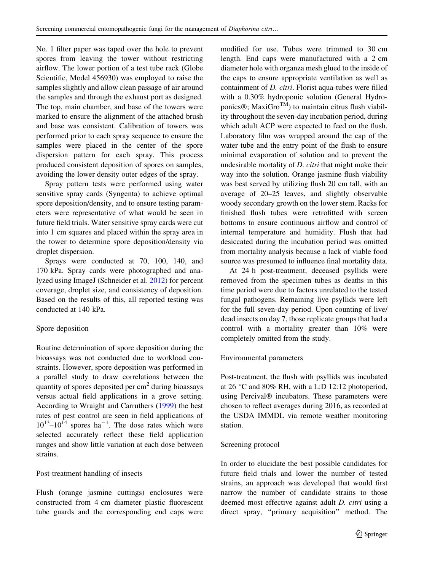No. 1 filter paper was taped over the hole to prevent spores from leaving the tower without restricting airflow. The lower portion of a test tube rack (Globe Scientific, Model 456930) was employed to raise the samples slightly and allow clean passage of air around the samples and through the exhaust port as designed. The top, main chamber, and base of the towers were marked to ensure the alignment of the attached brush and base was consistent. Calibration of towers was performed prior to each spray sequence to ensure the samples were placed in the center of the spore dispersion pattern for each spray. This process produced consistent deposition of spores on samples, avoiding the lower density outer edges of the spray.

Spray pattern tests were performed using water sensitive spray cards (Syngenta) to achieve optimal spore deposition/density, and to ensure testing parameters were representative of what would be seen in future field trials. Water sensitive spray cards were cut into 1 cm squares and placed within the spray area in the tower to determine spore deposition/density via droplet dispersion.

Sprays were conducted at 70, 100, 140, and 170 kPa. Spray cards were photographed and analyzed using ImageJ (Schneider et al. [2012](#page-11-0)) for percent coverage, droplet size, and consistency of deposition. Based on the results of this, all reported testing was conducted at 140 kPa.

#### Spore deposition

Routine determination of spore deposition during the bioassays was not conducted due to workload constraints. However, spore deposition was performed in a parallel study to draw correlations between the quantity of spores deposited per  $\text{cm}^2$  during bioassays versus actual field applications in a grove setting. According to Wraight and Carruthers ([1999\)](#page-11-0) the best rates of pest control are seen in field applications of  $10^{13}$ - $10^{14}$  spores ha<sup>-1</sup>. The dose rates which were selected accurately reflect these field application ranges and show little variation at each dose between strains.

#### Post-treatment handling of insects

Flush (orange jasmine cuttings) enclosures were constructed from 4 cm diameter plastic fluorescent tube guards and the corresponding end caps were

modified for use. Tubes were trimmed to 30 cm length. End caps were manufactured with a 2 cm diameter hole with organza mesh glued to the inside of the caps to ensure appropriate ventilation as well as containment of D. citri. Florist aqua-tubes were filled with a 0.30% hydroponic solution (General Hydroponics®; MaxiGro<sup>TM</sup>) to maintain citrus flush viability throughout the seven-day incubation period, during which adult ACP were expected to feed on the flush. Laboratory film was wrapped around the cap of the water tube and the entry point of the flush to ensure minimal evaporation of solution and to prevent the undesirable mortality of D. citri that might make their way into the solution. Orange jasmine flush viability was best served by utilizing flush 20 cm tall, with an average of 20–25 leaves, and slightly observable woody secondary growth on the lower stem. Racks for finished flush tubes were retrofitted with screen bottoms to ensure continuous airflow and control of internal temperature and humidity. Flush that had desiccated during the incubation period was omitted from mortality analysis because a lack of viable food source was presumed to influence final mortality data.

At 24 h post-treatment, deceased psyllids were removed from the specimen tubes as deaths in this time period were due to factors unrelated to the tested fungal pathogens. Remaining live psyllids were left for the full seven-day period. Upon counting of live/ dead insects on day 7, those replicate groups that had a control with a mortality greater than 10% were completely omitted from the study.

#### Environmental parameters

Post-treatment, the flush with psyllids was incubated at 26  $\degree$ C and 80% RH, with a L:D 12:12 photoperiod, using Percival® incubators. These parameters were chosen to reflect averages during 2016, as recorded at the USDA IMMDL via remote weather monitoring station.

#### Screening protocol

In order to elucidate the best possible candidates for future field trials and lower the number of tested strains, an approach was developed that would first narrow the number of candidate strains to those deemed most effective against adult D. citri using a direct spray, ''primary acquisition'' method. The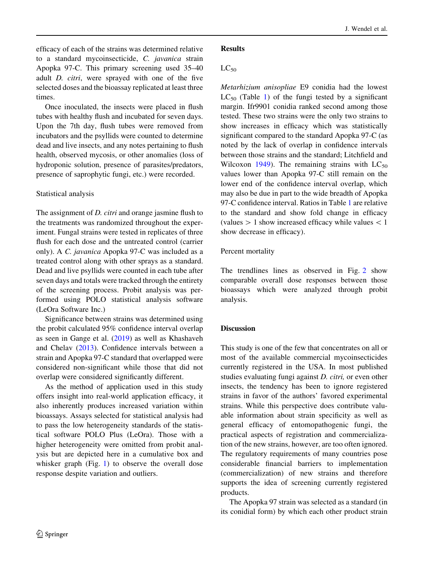J. Wendel et al.

efficacy of each of the strains was determined relative to a standard mycoinsecticide, C. javanica strain Apopka 97-C. This primary screening used 35–40 adult D. citri, were sprayed with one of the five selected doses and the bioassay replicated at least three times.

Once inoculated, the insects were placed in flush tubes with healthy flush and incubated for seven days. Upon the 7th day, flush tubes were removed from incubators and the psyllids were counted to determine dead and live insects, and any notes pertaining to flush health, observed mycosis, or other anomalies (loss of hydroponic solution, presence of parasites/predators, presence of saprophytic fungi, etc.) were recorded.

#### Statistical analysis

The assignment of *D. citri* and orange jasmine flush to the treatments was randomized throughout the experiment. Fungal strains were tested in replicates of three flush for each dose and the untreated control (carrier only). A C. javanica Apopka 97-C was included as a treated control along with other sprays as a standard. Dead and live psyllids were counted in each tube after seven days and totals were tracked through the entirety of the screening process. Probit analysis was performed using POLO statistical analysis software (LeOra Software Inc.)

Significance between strains was determined using the probit calculated 95% confidence interval overlap as seen in Gange et al. [\(2019](#page-11-0)) as well as Khashaveh and Chelav [\(2013](#page-11-0)). Confidence intervals between a strain and Apopka 97-C standard that overlapped were considered non-significant while those that did not overlap were considered significantly different.

As the method of application used in this study offers insight into real-world application efficacy, it also inherently produces increased variation within bioassays. Assays selected for statistical analysis had to pass the low heterogeneity standards of the statistical software POLO Plus (LeOra). Those with a higher heterogeneity were omitted from probit analysis but are depicted here in a cumulative box and whisker graph (Fig. [1\)](#page-8-0) to observe the overall dose response despite variation and outliers.

#### Results

#### $LC_{50}$

Metarhizium anisopliae E9 conidia had the lowest  $LC_{50}$  (Table [1](#page-5-0)) of the fungi tested by a significant margin. Ifr9901 conidia ranked second among those tested. These two strains were the only two strains to show increases in efficacy which was statistically significant compared to the standard Apopka 97-C (as noted by the lack of overlap in confidence intervals between those strains and the standard; Litchfield and Wilcoxon [1949](#page-11-0)). The remaining strains with  $LC_{50}$ values lower than Apopka 97-C still remain on the lower end of the confidence interval overlap, which may also be due in part to the wide breadth of Apopka 97-C confidence interval. Ratios in Table [1](#page-5-0) are relative to the standard and show fold change in efficacy (values  $> 1$  show increased efficacy while values  $< 1$ show decrease in efficacy).

#### Percent mortality

The trendlines lines as observed in Fig. [2](#page-9-0) show comparable overall dose responses between those bioassays which were analyzed through probit analysis.

#### **Discussion**

This study is one of the few that concentrates on all or most of the available commercial mycoinsecticides currently registered in the USA. In most published studies evaluating fungi against D. citri, or even other insects, the tendency has been to ignore registered strains in favor of the authors' favored experimental strains. While this perspective does contribute valuable information about strain specificity as well as general efficacy of entomopathogenic fungi, the practical aspects of registration and commercialization of the new strains, however, are too often ignored. The regulatory requirements of many countries pose considerable financial barriers to implementation (commercialization) of new strains and therefore supports the idea of screening currently registered products.

The Apopka 97 strain was selected as a standard (in its conidial form) by which each other product strain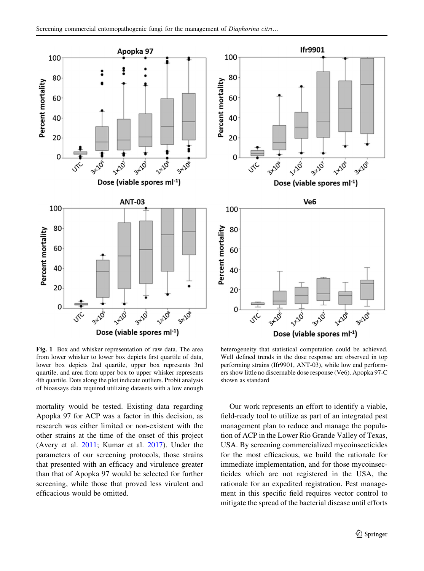<span id="page-8-0"></span>

Fig. 1 Box and whisker representation of raw data. The area from lower whisker to lower box depicts first quartile of data, lower box depicts 2nd quartile, upper box represents 3rd quartile, and area from upper box to upper whisker represents 4th quartile. Dots along the plot indicate outliers. Probit analysis of bioassays data required utilizing datasets with a low enough

mortality would be tested. Existing data regarding Apopka 97 for ACP was a factor in this decision, as research was either limited or non-existent with the other strains at the time of the onset of this project (Avery et al. [2011](#page-10-0); Kumar et al. [2017](#page-11-0)). Under the parameters of our screening protocols, those strains that presented with an efficacy and virulence greater than that of Apopka 97 would be selected for further screening, while those that proved less virulent and efficacious would be omitted.

heterogeneity that statistical computation could be achieved. Well defined trends in the dose response are observed in top performing strains (Ifr9901, ANT-03), while low end performers show little no discernable dose response (Ve6). Apopka 97-C shown as standard

Our work represents an effort to identify a viable, field-ready tool to utilize as part of an integrated pest management plan to reduce and manage the population of ACP in the Lower Rio Grande Valley of Texas, USA. By screening commercialized mycoinsecticides for the most efficacious, we build the rationale for immediate implementation, and for those mycoinsecticides which are not registered in the USA, the rationale for an expedited registration. Pest management in this specific field requires vector control to mitigate the spread of the bacterial disease until efforts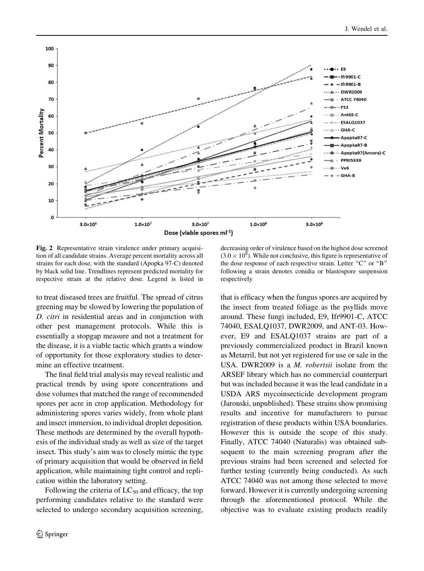<span id="page-9-0"></span>

Fig. 2 Representative strain virulence under primary acquisition of all candidate strains. Average percent mortality across all strains for each dose, with the standard (Apopka 97-C) denoted by black solid line. Trendlines represent predicted mortality for respective strain at the relative dose. Legend is listed in

to treat diseased trees are fruitful. The spread of citrus greening may be slowed by lowering the population of D. citri in residential areas and in conjunction with other pest management protocols. While this is essentially a stopgap measure and not a treatment for the disease, it is a viable tactic which grants a window of opportunity for those exploratory studies to determine an effective treatment.

The final field trial analysis may reveal realistic and practical trends by using spore concentrations and dose volumes that matched the range of recommended spores per acre in crop application. Methodology for administering spores varies widely, from whole plant and insect immersion, to individual droplet deposition. These methods are determined by the overall hypothesis of the individual study as well as size of the target insect. This study's aim was to closely mimic the type of primary acquisition that would be observed in field application, while maintaining tight control and replication within the laboratory setting.

Following the criteria of  $LC_{50}$  and efficacy, the top performing candidates relative to the standard were selected to undergo secondary acquisition screening,

decreasing order of virulence based on the highest dose screened  $(3.0 \times 10^8)$ . While not conclusive, this figure is representative of the dose response of each respective strain. Letter ''C'' or ''B'' following a strain denotes conidia or blastospore suspension respectively

that is efficacy when the fungus spores are acquired by the insect from treated foliage as the psyllids move around. These fungi included, E9, Ifr9901-C, ATCC 74040, ESALQ1037, DWR2009, and ANT-03. However, E9 and ESALQ1037 strains are part of a previously commercialized product in Brazil known as Metarril, but not yet registered for use or sale in the USA. DWR2009 is a M. robertsii isolate from the ARSEF library which has no commercial counterpart but was included because it was the lead candidate in a USDA ARS mycoinsecticide development program (Jaronski, unpublished). These strains show promising results and incentive for manufacturers to pursue registration of these products within USA boundaries. However this is outside the scope of this study. Finally, ATCC 74040 (Naturalis) was obtained subsequent to the main screening program after the previous strains had been screened and selected for further testing (currently being conducted). As such ATCC 74040 was not among those selected to move forward. However it is currently undergoing screening through the aforementioned protocol. While the objective was to evaluate existing products readily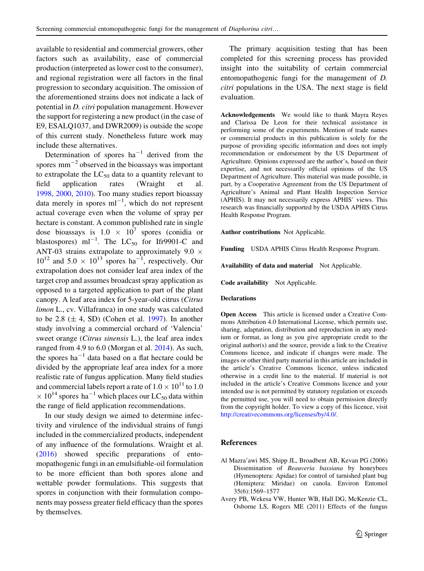<span id="page-10-0"></span>available to residential and commercial growers, other factors such as availability, ease of commercial production (interpreted as lower cost to the consumer), and regional registration were all factors in the final progression to secondary acquisition. The omission of the aforementioned strains does not indicate a lack of potential in D. citri population management. However the support for registering a new product (in the case of E9, ESALQ1037, and DWR2009) is outside the scope of this current study. Nonetheless future work may include these alternatives.

Determination of spores  $ha^{-1}$  derived from the spores  $mm^{-2}$  observed in the bioassays was important to extrapolate the  $LC_{50}$  data to a quantity relevant to field application rates (Wraight et al. field application rates (Wraight et al. [1998,](#page-11-0) [2000](#page-12-0), [2010](#page-12-0)). Too many studies report bioassay data merely in spores  $ml^{-1}$ , which do not represent actual coverage even when the volume of spray per hectare is constant. A common published rate in single dose bioassays is  $1.0 \times 10^7$  spores (conidia or blastospores)  $ml^{-1}$ . The  $LC_{50}$  for Ifr9901-C and ANT-03 strains extrapolate to approximately  $9.0 \times$  $10^{12}$  and  $5.0 \times 10^{13}$  spores ha<sup>-1</sup>, respectively. Our extrapolation does not consider leaf area index of the target crop and assumes broadcast spray application as opposed to a targeted application to part of the plant canopy. A leaf area index for 5-year-old citrus (Citrus limon L., cv. Villafranca) in one study was calculated to be 2.8  $(\pm 4, SD)$  (Cohen et al. [1997\)](#page-11-0). In another study involving a commercial orchard of 'Valencia' sweet orange (Citrus sinensis L.), the leaf area index ranged from 4.9 to 6.0 (Morgan et al. [2014](#page-11-0)). As such, the spores  $ha^{-1}$  data based on a flat hectare could be divided by the appropriate leaf area index for a more realistic rate of fungus application. Many field studies and commercial labels report a rate of  $1.0 \times 10^{11}$  to 1.0  $\times$  10<sup>14</sup> spores ha<sup>-1</sup> which places our LC<sub>50</sub> data within the range of field application recommendations.

In our study design we aimed to determine infectivity and virulence of the individual strains of fungi included in the commercialized products, independent of any influence of the formulations. Wraight et al. [\(2016](#page-12-0)) showed specific preparations of entomopathogenic fungi in an emulsifiable-oil formulation to be more efficient than both spores alone and wettable powder formulations. This suggests that spores in conjunction with their formulation components may possess greater field efficacy than the spores by themselves.

The primary acquisition testing that has been completed for this screening process has provided insight into the suitability of certain commercial entomopathogenic fungi for the management of D. citri populations in the USA. The next stage is field evaluation.

Acknowledgements We would like to thank Mayra Reyes and Clarissa De Leon for their technical assistance in performing some of the experiments. Mention of trade names or commercial products in this publication is solely for the purpose of providing specific information and does not imply recommendation or endorsement by the US Department of Agriculture. Opinions expressed are the author's, based on their expertise, and not necessarily official opinions of the US Department of Agriculture. This material was made possible, in part, by a Cooperative Agreement from the US Department of Agriculture's Animal and Plant Health Inspection Service (APHIS). It may not necessarily express APHIS' views. This research was financially supported by the USDA APHIS Citrus Health Response Program.

Author contributions Not Applicable.

Funding USDA APHIS Citrus Health Response Program.

Availability of data and material Not Applicable.

Code availability Not Applicable.

#### Declarations

Open Access This article is licensed under a Creative Commons Attribution 4.0 International License, which permits use, sharing, adaptation, distribution and reproduction in any medium or format, as long as you give appropriate credit to the original author(s) and the source, provide a link to the Creative Commons licence, and indicate if changes were made. The images or other third party material in this article are included in the article's Creative Commons licence, unless indicated otherwise in a credit line to the material. If material is not included in the article's Creative Commons licence and your intended use is not permitted by statutory regulation or exceeds the permitted use, you will need to obtain permission directly from the copyright holder. To view a copy of this licence, visit <http://creativecommons.org/licenses/by/4.0/>.

#### References

- Al Mazra'awi MS, Shipp JL, Broadbent AB, Kevan PG (2006) Dissemination of Beauveria bassiana by honeybees (Hymenoptera: Apidae) for control of tarnished plant bug (Hemiptera: Miridae) on canola. Environ Entomol 35(6):1569–1577
- Avery PB, Wekesa VW, Hunter WB, Hall DG, McKenzie CL, Osborne LS, Rogers ME (2011) Effects of the fungus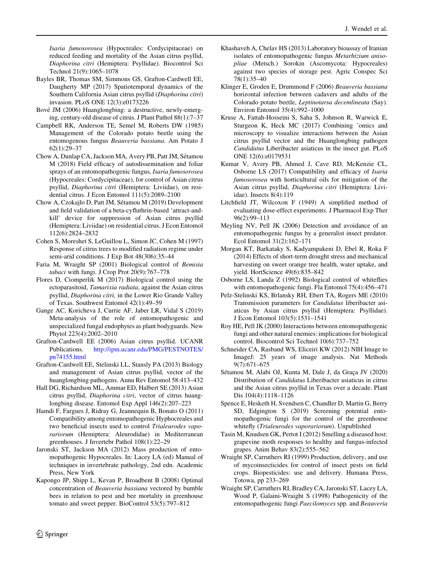<span id="page-11-0"></span>Isaria fumosorosea (Hypocreales: Cordycipitaceae) on reduced feeding and mortality of the Asian citrus psyllid, Diaphorina citri (Hemiptera: Psyllidae). Biocontrol Sci Technol 21(9):1065–1078

- Bayles BR, Thomas SM, Simmons GS, Grafton-Cardwell EE, Daugherty MP (2017) Spatiotemporal dynamics of the Southern California Asian citrus psyllid (Diaphorina citri) invasion. PLoS ONE 12(3):e0173226
- Bové JM (2006) Huanglongbing: a destructive, newly-emerging, century-old disease of citrus. J Plant Pathol 88(1):7–37
- Campbell RK, Anderson TE, Semel M, Roberts DW (1985) Management of the Colorado potato beetle using the entomogenous fungus Beauveria bassiana. Am Potato J 62(1):29–37
- Chow A, Dunlap CA, Jackson MA, Avery PB, Patt JM, Sétamou M (2018) Field efficacy of autodissemination and foliar sprays of an entomopathogenic fungus, Isaria fumosorosea (Hypocreales: Cordycipitaceae), for control of Asian citrus psyllid, Diaphorina citri (Hemiptera: Liviidae), on residential citrus. J Econ Entomol 111(5):2089–2100
- Chow A, Czokajlo D, Patt JM, Sétamou M (2019) Development and field validation of a beta-cyfluthrin-based 'attract-andkill' device for suppression of Asian citrus psyllid (Hemiptera: Liviidae) on residential citrus. J Econ Entomol 112(6):2824–2832
- Cohen S, Moreshet S, LeGuillou L, Simon JC, Cohen M (1997) Response of citrus trees to modified radiation regime under semi-arid conditions. J Exp Bot 48(306):35–44
- Faria M, Wraight SP (2001) Biological control of Bemisia tabaci with fungi. J Crop Prot 20(9):767–778
- Flores D, Ciomperlik M (2017) Biological control using the ectoparasitoid, Tamarixia radiata, against the Asian citrus psyllid, Diaphorina citri, in the Lower Rio Grande Valley of Texas. Southwest Entomol 42(1):49–59
- Gange AC, Koricheva J, Currie AF, Jaber LR, Vidal S (2019) Meta-analysis of the role of entomopathogenic and unspecialized fungal endophytes as plant bodyguards. New Phytol 223(4):2002–2010
- Grafton-Cardwell EE (2006) Asian citrus psyllid. UCANR Publications. [http://ipm.ucanr.edu/PMG/PESTNOTES/](http://ipm.ucanr.edu/PMG/PESTNOTES/pn74155.html) [pn74155.html](http://ipm.ucanr.edu/PMG/PESTNOTES/pn74155.html)
- Grafton-Cardwell EE, Stelinski LL, Stansly PA (2013) Biology and management of Asian citrus psyllid, vector of the huanglongbing pathogens. Annu Rev Entomol 58:413–432
- Hall DG, Richardson ML, Ammar ED, Halbert SE (2013) Asian citrus psyllid, Diaphorina citri, vector of citrus huanglongbing disease. Entomol Exp Appl 146(2):207–223
- Hamdi F, Fargues J, Ridray G, Jeannequin B, Bonato O (2011) Compatibility among entomopathogenic Hyphocreales and two beneficial insects used to control Trialeurodes vaporariorum (Hemiptera: Aleurodidae) in Mediterranean greenhouses. J Invertebr Pathol 108(1):22–29
- Jaronski ST, Jackson MA (2012) Mass production of entomopathogenic Hypocreales. In: Lacey LA (ed) Manual of techniques in invertebrate pathology, 2nd edn. Academic Press, New York
- Kapongo JP, Shipp L, Kevan P, Broadbent B (2008) Optimal concentration of Beauveria bassiana vectored by bumble bees in relation to pest and bee mortality in greenhouse tomato and sweet pepper. BioControl 53(5):797–812
- Khashaveh A, Chelav HS (2013) Laboratory bioassay of Iranian isolates of entomopathogenic fungus Metarhizium anisopliae (Metsch.) Sorokin (Ascomycota: Hypocreales) against two species of storage pest. Agric Conspec Sci 78(1):35–40
- Klinger E, Groden E, Drummond F (2006) Beauveria bassiana horizontal infection between cadavers and adults of the Colorado potato beetle, Leptinotarsa decemlineata (Say). Environ Entomol 35(4):992–1000
- Kruse A, Fattah-Hosseini S, Saha S, Johnson R, Warwick E, Sturgeon K, Heck MC (2017) Combining 'omics and microscopy to visualize interactions between the Asian citrus psyllid vector and the Huanglongbing pathogen Candidatus Liberibacter asiaticus in the insect gut. PLoS ONE 12(6):e0179531
- Kumar V, Avery PB, Ahmed J, Cave RD, McKenzie CL, Osborne LS (2017) Compatibility and efficacy of Isaria fumosorosea with horticultural oils for mitigation of the Asian citrus psyllid, Diaphorina citri (Hemiptera: Liviidae). Insects 8(4):119
- Litchfield JT, Wilcoxon F (1949) A simplified method of evaluating dose-effect experiments. J Pharmacol Exp Ther 96(2):99–113
- Meyling NV, Pell JK (2006) Detection and avoidance of an entomopathogenic fungus by a generalist insect predator. Ecol Entomol 31(2):162–171
- Morgan KT, Barkataky S, Kadyampakeni D, Ebel R, Roka F (2014) Effects of short-term drought stress and mechanical harvesting on sweet orange tree health, water uptake, and yield. HortScience 49(6):835–842
- Osborne LS, Landa Z (1992) Biological control of whiteflies with entomopathogenic fungi. Fla Entomol 75(4):456–471
- Pelz-Stelinski KS, Brlansky RH, Ebert TA, Rogers ME (2010) Transmission parameters for Candidatus liberibacter asiaticus by Asian citrus psyllid (Hemiptera: Psyllidae). J Econ Entomol 103(5):1531–1541
- Roy HE, Pell JK (2000) Interactions between entomopathogenic fungi and other natural enemies: implications for biological control. Biocontrol Sci Technol 10(6):737–752
- Schneider CA, Rasband WS, Eliceiri KW (2012) NIH Image to ImageJ: 25 years of image analysis. Nat Methods 9(7):671–675
- Sétamou M, Alabi OJ, Kunta M, Dale J, da Graça JV (2020) Distribution of Candidatus Liberibacter asiaticus in citrus and the Asian citrus psyllid in Texas over a decade. Plant Dis 104(4):1118–1126
- Spence E, Hesketh H, Svendsen C, Chandler D, Martin G, Berry SD, Edgington S (2019) Screening potential entomopathogenic fungi for the control of the greenhouse whitefly (Trialeurodes vaporariorum). Unpublished
- Tasin M, Knudsen GK, Pertot I (2012) Smelling a diseased host: grapevine moth responses to healthy and fungus-infected grapes. Anim Behav 83(2):555–562
- Wraight SP, Carruthers RI (1999) Production, delivery, and use of mycoinsecticides for control of insect pests on field crops. Biopesticides: use and delivery. Humana Press, Totowa, pp 233–269
- Wraight SP, Carruthers RI, Bradley CA, Jaronski ST, Lacey LA, Wood P, Galaini-Wraight S (1998) Pathogenicity of the entomopathogenic fungi Paecilomyces spp. and Beauveria